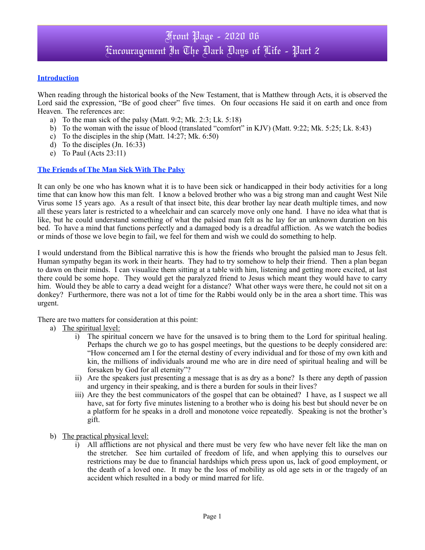# Front Page - 2020 06 Encouragement In The Dark Days of Life - Part 2

### **Introduction**

When reading through the historical books of the New Testament, that is Matthew through Acts, it is observed the Lord said the expression, "Be of good cheer" five times. On four occasions He said it on earth and once from Heaven. The references are:

- a) To the man sick of the palsy (Matt. 9:2; Mk. 2:3; Lk. 5:18)
- b) To the woman with the issue of blood (translated "comfort" in KJV) (Matt. 9:22; Mk. 5:25; Lk. 8:43)
- c) To the disciples in the ship (Matt. 14:27; Mk. 6:50)
- d) To the disciples (Jn. 16:33)
- e) To Paul (Acts 23:11)

### **The Friends of The Man Sick With The Palsy**

It can only be one who has known what it is to have been sick or handicapped in their body activities for a long time that can know how this man felt. I know a beloved brother who was a big strong man and caught West Nile Virus some 15 years ago. As a result of that insect bite, this dear brother lay near death multiple times, and now all these years later is restricted to a wheelchair and can scarcely move only one hand. I have no idea what that is like, but he could understand something of what the palsied man felt as he lay for an unknown duration on his bed. To have a mind that functions perfectly and a damaged body is a dreadful affliction. As we watch the bodies or minds of those we love begin to fail, we feel for them and wish we could do something to help.

I would understand from the Biblical narrative this is how the friends who brought the palsied man to Jesus felt. Human sympathy began its work in their hearts. They had to try somehow to help their friend. Then a plan began to dawn on their minds. I can visualize them sitting at a table with him, listening and getting more excited, at last there could be some hope. They would get the paralyzed friend to Jesus which meant they would have to carry him. Would they be able to carry a dead weight for a distance? What other ways were there, he could not sit on a donkey? Furthermore, there was not a lot of time for the Rabbi would only be in the area a short time. This was urgent.

There are two matters for consideration at this point:

- a) The spiritual level:
	- i) The spiritual concern we have for the unsaved is to bring them to the Lord for spiritual healing. Perhaps the church we go to has gospel meetings, but the questions to be deeply considered are: "How concerned am I for the eternal destiny of every individual and for those of my own kith and kin, the millions of individuals around me who are in dire need of spiritual healing and will be forsaken by God for all eternity"?
	- ii) Are the speakers just presenting a message that is as dry as a bone? Is there any depth of passion and urgency in their speaking, and is there a burden for souls in their lives?
	- iii) Are they the best communicators of the gospel that can be obtained? I have, as I suspect we all have, sat for forty five minutes listening to a brother who is doing his best but should never be on a platform for he speaks in a droll and monotone voice repeatedly. Speaking is not the brother's gift.
- b) The practical physical level:
	- i) All afflictions are not physical and there must be very few who have never felt like the man on the stretcher. See him curtailed of freedom of life, and when applying this to ourselves our restrictions may be due to financial hardships which press upon us, lack of good employment, or the death of a loved one. It may be the loss of mobility as old age sets in or the tragedy of an accident which resulted in a body or mind marred for life.